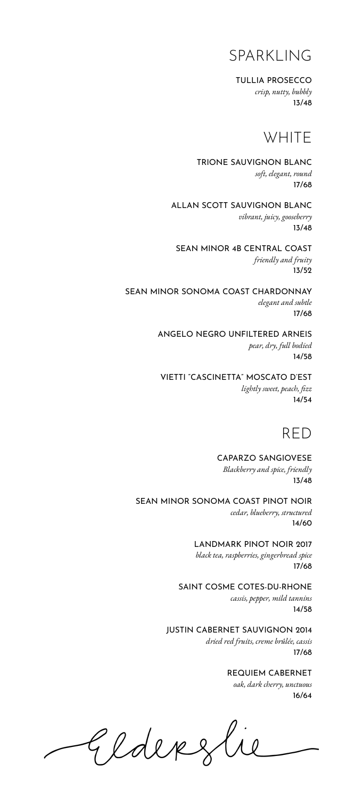#### SPARKLING

TULLIA PROSECCO

*crisp, nutty, bubbly* 13/48

#### **WHITE**

TRIONE SAUVIGNON BLANC *soft, elegant, round* 17/68

ALLAN SCOTT SAUVIGNON BLANC *vibrant, juicy, gooseberry* 13/48

SEAN MINOR 4B CENTRAL COAST *friendly and fruity* 13/52

SEAN MINOR SONOMA COAST CHARDONNAY *elegant and subtle* 17/68

> ANGELO NEGRO UNFILTERED ARNEIS *pear, dry, full bodied* 14/58

VIETTI "CASCINETTA" MOSCATO D'EST *lightly sweet, peach, fizz* 14/54



CAPARZO SANGIOVESE *Blackberry and spice, friendly* 13/48

SEAN MINOR SONOMA COAST PINOT NOIR *cedar, blueberry, structured* 14/60

> LANDMARK PINOT NOIR 2017 *black tea, raspberries, gingerbread spice* 17/68

SAINT COSME COTES-DU-RHONE *cassis, pepper, mild tannins* 14/58

JUSTIN CABERNET SAUVIGNON 2014 *dried red fruits, creme brûlée, cassis* 17/68

> REQUIEM CABERNET *oak, dark cherry, unctuous*

> > 16/64

Elderzlie